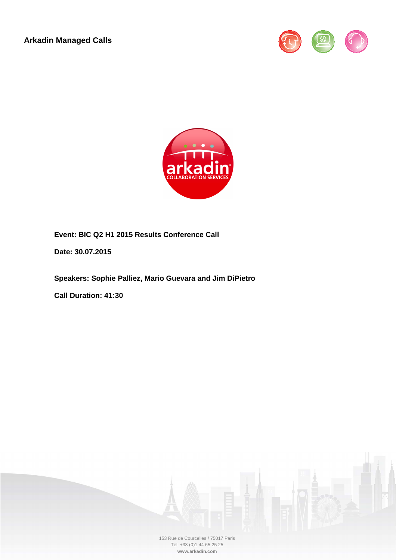**Arkadin Managed Calls** 





**Event: BIC Q2 H1 2015 Results Conference Call**

**Date: 30.07.2015**

**Speakers: Sophie Palliez, Mario Guevara and Jim DiPietro** 

**Call Duration: 41:30**



153 Rue de Courcelles / 75017 Paris Tel: +33 (0)1 44 65 25 25 **www.arkadin.com**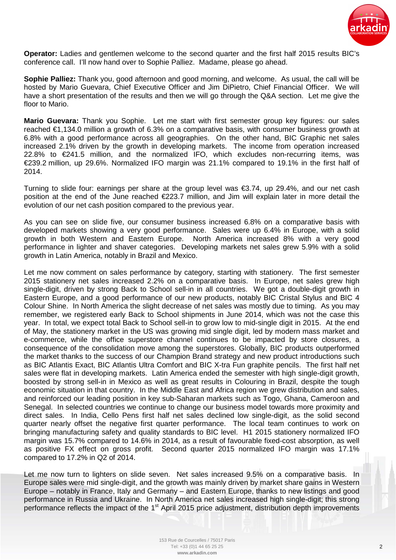

**Operator:** Ladies and gentlemen welcome to the second quarter and the first half 2015 results BIC's conference call. I'll now hand over to Sophie Palliez. Madame, please go ahead.

**Sophie Palliez:** Thank you, good afternoon and good morning, and welcome. As usual, the call will be hosted by Mario Guevara, Chief Executive Officer and Jim DiPietro, Chief Financial Officer. We will have a short presentation of the results and then we will go through the Q&A section. Let me give the floor to Mario.

**Mario Guevara:** Thank you Sophie. Let me start with first semester group key figures: our sales reached €1,134.0 million a growth of 6.3% on a comparative basis, with consumer business growth at 6.8% with a good performance across all geographies. On the other hand, BIC Graphic net sales increased 2.1% driven by the growth in developing markets. The income from operation increased 22.8% to €241.5 million, and the normalized IFO, which excludes non-recurring items, was €239.2 million, up 29.6%. Normalized IFO margin was 21.1% compared to 19.1% in the first half of 2014.

Turning to slide four: earnings per share at the group level was  $\epsilon$ 3.74, up 29.4%, and our net cash position at the end of the June reached €223.7 million, and Jim will explain later in more detail the evolution of our net cash position compared to the previous year.

As you can see on slide five, our consumer business increased 6.8% on a comparative basis with developed markets showing a very good performance. Sales were up 6.4% in Europe, with a solid growth in both Western and Eastern Europe. North America increased 8% with a very good performance in lighter and shaver categories. Developing markets net sales grew 5.9% with a solid growth in Latin America, notably in Brazil and Mexico.

Let me now comment on sales performance by category, starting with stationery. The first semester 2015 stationery net sales increased 2.2% on a comparative basis. In Europe, net sales grew high single-digit, driven by strong Back to School sell-in in all countries. We got a double-digit growth in Eastern Europe, and a good performance of our new products, notably BIC Cristal Stylus and BIC 4 Colour Shine. In North America the slight decrease of net sales was mostly due to timing. As you may remember, we registered early Back to School shipments in June 2014, which was not the case this year. In total, we expect total Back to School sell-in to grow low to mid-single digit in 2015. At the end of May, the stationery market in the US was growing mid single digit, led by modern mass market and e-commerce, while the office superstore channel continues to be impacted by store closures, a consequence of the consolidation move among the superstores. Globally, BIC products outperformed the market thanks to the success of our Champion Brand strategy and new product introductions such as BIC Atlantis Exact, BIC Atlantis Ultra Comfort and BIC X-tra Fun graphite pencils. The first half net sales were flat in developing markets. Latin America ended the semester with high single-digit growth, boosted by strong sell-in in Mexico as well as great results in Colouring in Brazil, despite the tough economic situation in that country. In the Middle East and Africa region we grew distribution and sales, and reinforced our leading position in key sub-Saharan markets such as Togo, Ghana, Cameroon and Senegal. In selected countries we continue to change our business model towards more proximity and direct sales. In India, Cello Pens first half net sales declined low single-digit, as the solid second quarter nearly offset the negative first quarter performance. The local team continues to work on bringing manufacturing safety and quality standards to BIC level. H1 2015 stationery normalized IFO margin was 15.7% compared to 14.6% in 2014, as a result of favourable fixed-cost absorption, as well as positive FX effect on gross profit. Second quarter 2015 normalized IFO margin was 17.1% compared to 17.2% in Q2 of 2014.

Let me now turn to lighters on slide seven. Net sales increased 9.5% on a comparative basis. In Europe sales were mid single-digit, and the growth was mainly driven by market share gains in Western Europe – notably in France, Italy and Germany – and Eastern Europe, thanks to new listings and good performance in Russia and Ukraine. In North America net sales increased high single-digit; this strong performance reflects the impact of the 1<sup>st</sup> April 2015 price adjustment, distribution depth improvements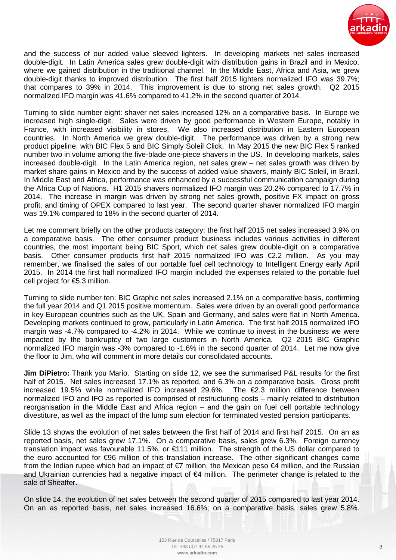

and the success of our added value sleeved lighters. In developing markets net sales increased double-digit. In Latin America sales grew double-digit with distribution gains in Brazil and in Mexico, where we gained distribution in the traditional channel. In the Middle East, Africa and Asia, we grew double-digit thanks to improved distribution. The first half 2015 lighters normalized IFO was 39.7%; that compares to 39% in 2014. This improvement is due to strong net sales growth. Q2 2015 normalized IFO margin was 41.6% compared to 41.2% in the second quarter of 2014.

Turning to slide number eight: shaver net sales increased 12% on a comparative basis. In Europe we increased high single-digit. Sales were driven by good performance in Western Europe, notably in France, with increased visibility in stores. We also increased distribution in Eastern European countries. In North America we grew double-digit. The performance was driven by a strong new product pipeline, with BIC Flex 5 and BIC Simply Soleil Click. In May 2015 the new BIC Flex 5 ranked number two in volume among the five-blade one-piece shavers in the US. In developing markets, sales increased double-digit. In the Latin America region, net sales grew – net sales growth was driven by market share gains in Mexico and by the success of added value shavers, mainly BIC Soleil, in Brazil. In Middle East and Africa, performance was enhanced by a successful communication campaign during the Africa Cup of Nations. H1 2015 shavers normalized IFO margin was 20.2% compared to 17.7% in 2014. The increase in margin was driven by strong net sales growth, positive FX impact on gross profit, and timing of OPEX compared to last year. The second quarter shaver normalized IFO margin was 19.1% compared to 18% in the second quarter of 2014.

Let me comment briefly on the other products category: the first half 2015 net sales increased 3.9% on a comparative basis. The other consumer product business includes various activities in different countries, the most important being BIC Sport, which net sales grew double-digit on a comparative basis. Other consumer products first half 2015 normalized IFO was €2.2 million. As you may remember, we finalised the sales of our portable fuel cell technology to Intelligent Energy early April 2015. In 2014 the first half normalized IFO margin included the expenses related to the portable fuel cell project for €5.3 million.

Turning to slide number ten: BIC Graphic net sales increased 2.1% on a comparative basis, confirming the full year 2014 and Q1 2015 positive momentum. Sales were driven by an overall good performance in key European countries such as the UK, Spain and Germany, and sales were flat in North America. Developing markets continued to grow, particularly in Latin America. The first half 2015 normalized IFO margin was -4.7% compared to -4.2% in 2014. While we continue to invest in the business we were impacted by the bankruptcy of two large customers in North America. Q2 2015 BIC Graphic normalized IFO margin was -3% compared to -1.6% in the second quarter of 2014. Let me now give the floor to Jim, who will comment in more details our consolidated accounts.

**Jim DiPietro:** Thank you Mario. Starting on slide 12, we see the summarised P&L results for the first half of 2015. Net sales increased 17.1% as reported, and 6.3% on a comparative basis. Gross profit increased 19.5% while normalized IFO increased 29.6%. The €2.3 million difference between normalized IFO and IFO as reported is comprised of restructuring costs – mainly related to distribution reorganisation in the Middle East and Africa region – and the gain on fuel cell portable technology divestiture, as well as the impact of the lump sum election for terminated vested pension participants.

Slide 13 shows the evolution of net sales between the first half of 2014 and first half 2015. On an as reported basis, net sales grew 17.1%. On a comparative basis, sales grew 6.3%. Foreign currency translation impact was favourable 11.5%, or €111 million. The strength of the US dollar compared to the euro accounted for €96 million of this translation increase. The other significant changes came from the Indian rupee which had an impact of €7 million, the Mexican peso €4 million, and the Russian and Ukrainian currencies had a negative impact of €4 million. The perimeter change is related to the sale of Sheaffer.

On slide 14, the evolution of net sales between the second quarter of 2015 compared to last year 2014. On an as reported basis, net sales increased 16.6%; on a comparative basis, sales grew 5.8%.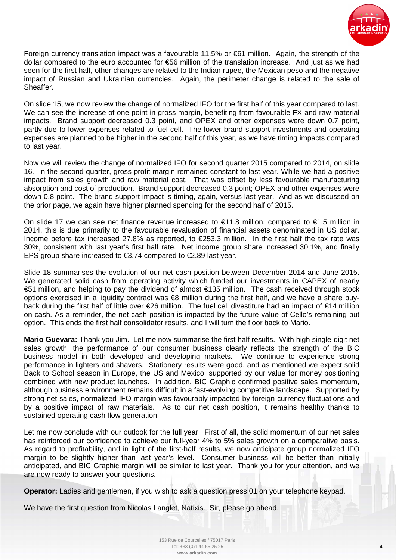

Foreign currency translation impact was a favourable 11.5% or €61 million. Again, the strength of the dollar compared to the euro accounted for €56 million of the translation increase. And just as we had seen for the first half, other changes are related to the Indian rupee, the Mexican peso and the negative impact of Russian and Ukrainian currencies. Again, the perimeter change is related to the sale of Sheaffer.

On slide 15, we now review the change of normalized IFO for the first half of this year compared to last. We can see the increase of one point in gross margin, benefiting from favourable FX and raw material impacts. Brand support decreased 0.3 point, and OPEX and other expenses were down 0.7 point, partly due to lower expenses related to fuel cell. The lower brand support investments and operating expenses are planned to be higher in the second half of this year, as we have timing impacts compared to last year.

Now we will review the change of normalized IFO for second quarter 2015 compared to 2014, on slide 16. In the second quarter, gross profit margin remained constant to last year. While we had a positive impact from sales growth and raw material cost. That was offset by less favourable manufacturing absorption and cost of production. Brand support decreased 0.3 point; OPEX and other expenses were down 0.8 point. The brand support impact is timing, again, versus last year. And as we discussed on the prior page, we again have higher planned spending for the second half of 2015.

On slide 17 we can see net finance revenue increased to  $\epsilon$ 11.8 million, compared to  $\epsilon$ 1.5 million in 2014, this is due primarily to the favourable revaluation of financial assets denominated in US dollar. Income before tax increased 27.8% as reported, to  $E$ 53.3 million. In the first half the tax rate was 30%, consistent with last year's first half rate. Net income group share increased 30.1%, and finally EPS group share increased to  $\epsilon$ 3.74 compared to  $\epsilon$ 2.89 last year.

Slide 18 summarises the evolution of our net cash position between December 2014 and June 2015. We generated solid cash from operating activity which funded our investments in CAPEX of nearly €51 million, and helping to pay the dividend of almost €135 million. The cash received through stock options exercised in a liquidity contract was €8 million during the first half, and we have a share buyback during the first half of little over €26 million. The fuel cell divestiture had an impact of €14 million on cash. As a reminder, the net cash position is impacted by the future value of Cello's remaining put option. This ends the first half consolidator results, and I will turn the floor back to Mario.

**Mario Guevara:** Thank you Jim. Let me now summarise the first half results. With high single-digit net sales growth, the performance of our consumer business clearly reflects the strength of the BIC business model in both developed and developing markets. We continue to experience strong performance in lighters and shavers. Stationery results were good, and as mentioned we expect solid Back to School season in Europe, the US and Mexico, supported by our value for money positioning combined with new product launches. In addition, BIC Graphic confirmed positive sales momentum, although business environment remains difficult in a fast-evolving competitive landscape. Supported by strong net sales, normalized IFO margin was favourably impacted by foreign currency fluctuations and by a positive impact of raw materials. As to our net cash position, it remains healthy thanks to sustained operating cash flow generation.

Let me now conclude with our outlook for the full year. First of all, the solid momentum of our net sales has reinforced our confidence to achieve our full-year 4% to 5% sales growth on a comparative basis. As regard to profitability, and in light of the first-half results, we now anticipate group normalized IFO margin to be slightly higher than last year's level. Consumer business will be better than initially anticipated, and BIC Graphic margin will be similar to last year. Thank you for your attention, and we are now ready to answer your questions.

**Operator:** Ladies and gentlemen, if you wish to ask a question press 01 on your telephone keypad.

We have the first question from Nicolas Langlet, Natixis. Sir, please go ahead.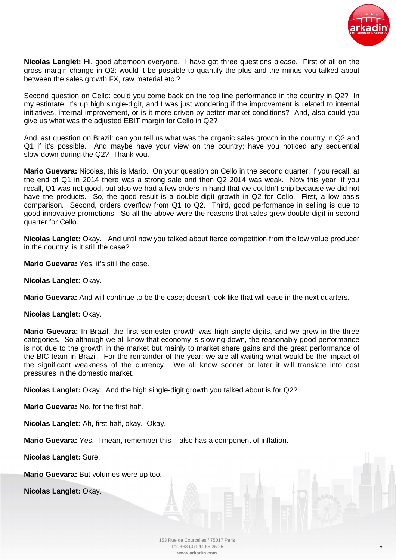

**Nicolas Langlet:** Hi, good afternoon everyone. I have got three questions please. First of all on the gross margin change in Q2: would it be possible to quantify the plus and the minus you talked about between the sales growth FX, raw material etc.?

Second question on Cello: could you come back on the top line performance in the country in Q2? In my estimate, it's up high single-digit, and I was just wondering if the improvement is related to internal initiatives, internal improvement, or is it more driven by better market conditions? And, also could you give us what was the adjusted EBIT margin for Cello in Q2?

And last question on Brazil: can you tell us what was the organic sales growth in the country in Q2 and Q1 if it's possible. And maybe have your view on the country; have you noticed any sequential slow-down during the Q2? Thank you.

**Mario Guevara:** Nicolas, this is Mario. On your question on Cello in the second quarter: if you recall, at the end of Q1 in 2014 there was a strong sale and then Q2 2014 was weak. Now this year, if you recall, Q1 was not good, but also we had a few orders in hand that we couldn't ship because we did not have the products. So, the good result is a double-digit growth in Q2 for Cello. First, a low basis comparison. Second, orders overflow from Q1 to Q2. Third, good performance in selling is due to good innovative promotions. So all the above were the reasons that sales grew double-digit in second quarter for Cello.

**Nicolas Langlet:** Okay. And until now you talked about fierce competition from the low value producer in the country: is it still the case?

**Mario Guevara: Yes, it's still the case.** 

**Nicolas Langlet:** Okay.

**Mario Guevara:** And will continue to be the case; doesn't look like that will ease in the next quarters.

**Nicolas Langlet:** Okay.

**Mario Guevara:** In Brazil, the first semester growth was high single-digits, and we grew in the three categories. So although we all know that economy is slowing down, the reasonably good performance is not due to the growth in the market but mainly to market share gains and the great performance of the BIC team in Brazil. For the remainder of the year: we are all waiting what would be the impact of the significant weakness of the currency. We all know sooner or later it will translate into cost pressures in the domestic market.

**Nicolas Langlet:** Okay. And the high single-digit growth you talked about is for Q2?

**Mario Guevara:** No, for the first half.

**Nicolas Langlet:** Ah, first half, okay. Okay.

**Mario Guevara:** Yes. I mean, remember this – also has a component of inflation.

**Nicolas Langlet:** Sure.

**Mario Guevara:** But volumes were up too.

**Nicolas Langlet:** Okay.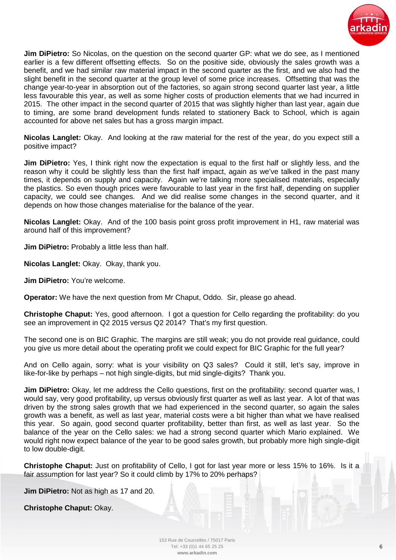

**Jim DiPietro:** So Nicolas, on the question on the second quarter GP: what we do see, as I mentioned earlier is a few different offsetting effects. So on the positive side, obviously the sales growth was a benefit, and we had similar raw material impact in the second quarter as the first, and we also had the slight benefit in the second quarter at the group level of some price increases. Offsetting that was the change year-to-year in absorption out of the factories, so again strong second quarter last year, a little less favourable this year, as well as some higher costs of production elements that we had incurred in 2015. The other impact in the second quarter of 2015 that was slightly higher than last year, again due to timing, are some brand development funds related to stationery Back to School, which is again accounted for above net sales but has a gross margin impact.

**Nicolas Langlet:** Okay. And looking at the raw material for the rest of the year, do you expect still a positive impact?

**Jim DiPietro:** Yes, I think right now the expectation is equal to the first half or slightly less, and the reason why it could be slightly less than the first half impact, again as we've talked in the past many times, it depends on supply and capacity. Again we're talking more specialised materials, especially the plastics. So even though prices were favourable to last year in the first half, depending on supplier capacity, we could see changes. And we did realise some changes in the second quarter, and it depends on how those changes materialise for the balance of the year.

**Nicolas Langlet:** Okay. And of the 100 basis point gross profit improvement in H1, raw material was around half of this improvement?

**Jim DiPietro:** Probably a little less than half.

**Nicolas Langlet:** Okay. Okay, thank you.

**Jim DiPietro: You're welcome.** 

**Operator:** We have the next question from Mr Chaput, Oddo. Sir, please go ahead.

**Christophe Chaput:** Yes, good afternoon. I got a question for Cello regarding the profitability: do you see an improvement in Q2 2015 versus Q2 2014? That's my first question.

The second one is on BIC Graphic. The margins are still weak; you do not provide real guidance, could you give us more detail about the operating profit we could expect for BIC Graphic for the full year?

And on Cello again, sorry: what is your visibility on Q3 sales? Could it still, let's say, improve in like-for-like by perhaps – not high single-digits, but mid single-digits? Thank you.

**Jim DiPietro:** Okay, let me address the Cello questions, first on the profitability: second quarter was, I would say, very good profitability, up versus obviously first quarter as well as last year. A lot of that was driven by the strong sales growth that we had experienced in the second quarter, so again the sales growth was a benefit, as well as last year, material costs were a bit higher than what we have realised this year. So again, good second quarter profitability, better than first, as well as last year. So the balance of the year on the Cello sales: we had a strong second quarter which Mario explained. We would right now expect balance of the year to be good sales growth, but probably more high single-digit to low double-digit.

**Christophe Chaput:** Just on profitability of Cello, I got for last year more or less 15% to 16%. Is it a fair assumption for last year? So it could climb by 17% to 20% perhaps?

**Jim DiPietro:** Not as high as 17 and 20.

**Christophe Chaput:** Okay.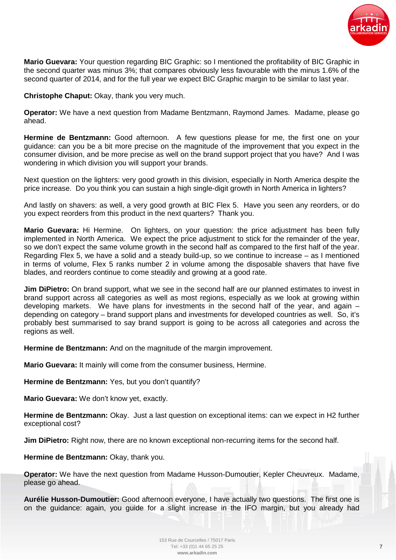

**Mario Guevara:** Your question regarding BIC Graphic: so I mentioned the profitability of BIC Graphic in the second quarter was minus 3%; that compares obviously less favourable with the minus 1.6% of the second quarter of 2014, and for the full year we expect BIC Graphic margin to be similar to last year.

**Christophe Chaput:** Okay, thank you very much.

**Operator:** We have a next question from Madame Bentzmann, Raymond James. Madame, please go ahead.

**Hermine de Bentzmann:** Good afternoon. A few questions please for me, the first one on your guidance: can you be a bit more precise on the magnitude of the improvement that you expect in the consumer division, and be more precise as well on the brand support project that you have? And I was wondering in which division you will support your brands.

Next question on the lighters: very good growth in this division, especially in North America despite the price increase. Do you think you can sustain a high single-digit growth in North America in lighters?

And lastly on shavers: as well, a very good growth at BIC Flex 5. Have you seen any reorders, or do you expect reorders from this product in the next quarters? Thank you.

**Mario Guevara:** Hi Hermine. On lighters, on your question: the price adjustment has been fully implemented in North America. We expect the price adjustment to stick for the remainder of the year, so we don't expect the same volume growth in the second half as compared to the first half of the year. Regarding Flex 5, we have a solid and a steady build-up, so we continue to increase – as I mentioned in terms of volume, Flex 5 ranks number 2 in volume among the disposable shavers that have five blades, and reorders continue to come steadily and growing at a good rate.

**Jim DiPietro:** On brand support, what we see in the second half are our planned estimates to invest in brand support across all categories as well as most regions, especially as we look at growing within developing markets. We have plans for investments in the second half of the year, and again – depending on category – brand support plans and investments for developed countries as well. So, it's probably best summarised to say brand support is going to be across all categories and across the regions as well.

**Hermine de Bentzmann:** And on the magnitude of the margin improvement.

**Mario Guevara:** It mainly will come from the consumer business, Hermine.

Hermine de Bentzmann: Yes, but you don't quantify?

**Mario Guevara:** We don't know yet, exactly.

**Hermine de Bentzmann:** Okay. Just a last question on exceptional items: can we expect in H2 further exceptional cost?

**Jim DiPietro:** Right now, there are no known exceptional non-recurring items for the second half.

**Hermine de Bentzmann: Okay, thank you.** 

**Operator:** We have the next question from Madame Husson-Dumoutier, Kepler Cheuvreux. Madame, please go ahead.

**Aurélie Husson-Dumoutier:** Good afternoon everyone, I have actually two questions. The first one is on the guidance: again, you guide for a slight increase in the IFO margin, but you already had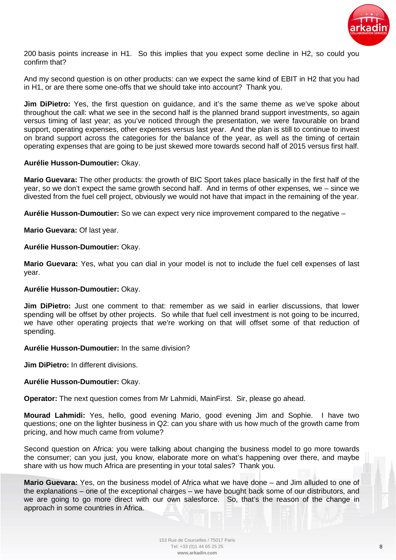

200 basis points increase in H1. So this implies that you expect some decline in H2, so could you confirm that?

And my second question is on other products: can we expect the same kind of EBIT in H2 that you had in H1, or are there some one-offs that we should take into account? Thank you.

**Jim DiPietro:** Yes, the first question on guidance, and it's the same theme as we've spoke about throughout the call: what we see in the second half is the planned brand support investments, so again versus timing of last year; as you've noticed through the presentation, we were favourable on brand support, operating expenses, other expenses versus last year. And the plan is still to continue to invest on brand support across the categories for the balance of the year, as well as the timing of certain operating expenses that are going to be just skewed more towards second half of 2015 versus first half.

# **Aurélie Husson-Dumoutier:** Okay.

**Mario Guevara:** The other products: the growth of BIC Sport takes place basically in the first half of the year, so we don't expect the same growth second half. And in terms of other expenses, we – since we divested from the fuel cell project, obviously we would not have that impact in the remaining of the year.

**Aurélie Husson-Dumoutier:** So we can expect very nice improvement compared to the negative –

**Mario Guevara: Of last year.** 

# **Aurélie Husson-Dumoutier:** Okay.

**Mario Guevara:** Yes, what you can dial in your model is not to include the fuel cell expenses of last year.

### **Aurélie Husson-Dumoutier:** Okay.

**Jim DiPietro:** Just one comment to that: remember as we said in earlier discussions, that lower spending will be offset by other projects. So while that fuel cell investment is not going to be incurred, we have other operating projects that we're working on that will offset some of that reduction of spending.

# **Aurélie Husson-Dumoutier:** In the same division?

**Jim DiPietro:** In different divisions.

### **Aurélie Husson-Dumoutier:** Okay.

**Operator:** The next question comes from Mr Lahmidi, MainFirst. Sir, please go ahead.

**Mourad Lahmidi:** Yes, hello, good evening Mario, good evening Jim and Sophie. I have two questions; one on the lighter business in Q2: can you share with us how much of the growth came from pricing, and how much came from volume?

Second question on Africa: you were talking about changing the business model to go more towards the consumer; can you just, you know, elaborate more on what's happening over there, and maybe share with us how much Africa are presenting in your total sales? Thank you.

**Mario Guevara:** Yes, on the business model of Africa what we have done – and Jim alluded to one of the explanations – one of the exceptional charges – we have bought back some of our distributors, and we are going to go more direct with our own salesforce. So, that's the reason of the change in approach in some countries in Africa.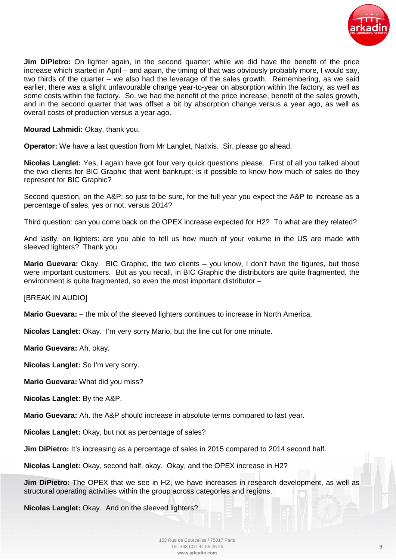

**Jim DiPietro:** On lighter again, in the second quarter; while we did have the benefit of the price increase which started in April – and again, the timing of that was obviously probably more, I would say, two thirds of the quarter – we also had the leverage of the sales growth. Remembering, as we said earlier, there was a slight unfavourable change year-to-year on absorption within the factory, as well as some costs within the factory. So, we had the benefit of the price increase, benefit of the sales growth, and in the second quarter that was offset a bit by absorption change versus a year ago, as well as overall costs of production versus a year ago.

**Mourad Lahmidi:** Okay, thank you.

**Operator:** We have a last question from Mr Langlet, Natixis. Sir, please go ahead.

**Nicolas Langlet:** Yes, I again have got four very quick questions please. First of all you talked about the two clients for BIC Graphic that went bankrupt: is it possible to know how much of sales do they represent for BIC Graphic?

Second question, on the A&P: so just to be sure, for the full year you expect the A&P to increase as a percentage of sales, yes or not, versus 2014?

Third question: can you come back on the OPEX increase expected for H2? To what are they related?

And lastly, on lighters: are you able to tell us how much of your volume in the US are made with sleeved lighters? Thank you.

**Mario Guevara:** Okay. BIC Graphic, the two clients – you know, I don't have the figures, but those were important customers. But as you recall, in BIC Graphic the distributors are quite fragmented, the environment is quite fragmented, so even the most important distributor –

[BREAK IN AUDIO]

**Mario Guevara:**  $-$  the mix of the sleeved lighters continues to increase in North America.

**Nicolas Langlet:** Okay. I'm very sorry Mario, but the line cut for one minute.

**Mario Guevara:** Ah, okay.

**Nicolas Langlet:** So I'm very sorry.

**Mario Guevara:** What did you miss?

**Nicolas Langlet:** By the A&P.

**Mario Guevara:** Ah, the A&P should increase in absolute terms compared to last year.

**Nicolas Langlet:** Okay, but not as percentage of sales?

**Jim DiPietro:** It's increasing as a percentage of sales in 2015 compared to 2014 second half.

**Nicolas Langlet:** Okay, second half, okay. Okay, and the OPEX increase in H2?

**Jim DiPietro:** The OPEX that we see in H2, we have increases in research development, as well as structural operating activities within the group across categories and regions.

**Nicolas Langlet:** Okay. And on the sleeved lighters?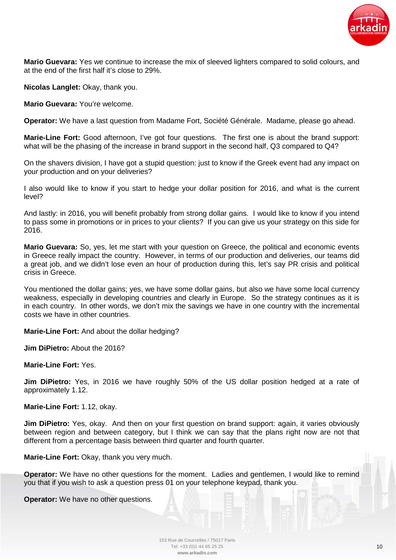

**Mario Guevara:** Yes we continue to increase the mix of sleeved lighters compared to solid colours, and at the end of the first half it's close to 29%.

**Nicolas Langlet:** Okay, thank you.

**Mario Guevara:** You're welcome.

**Operator:** We have a last question from Madame Fort, Société Générale. Madame, please go ahead.

**Marie-Line Fort:** Good afternoon, I've got four questions. The first one is about the brand support: what will be the phasing of the increase in brand support in the second half, Q3 compared to Q4?

On the shavers division, I have got a stupid question: just to know if the Greek event had any impact on your production and on your deliveries?

I also would like to know if you start to hedge your dollar position for 2016, and what is the current level?

And lastly: in 2016, you will benefit probably from strong dollar gains. I would like to know if you intend to pass some in promotions or in prices to your clients? If you can give us your strategy on this side for 2016.

**Mario Guevara:** So, yes, let me start with your question on Greece, the political and economic events in Greece really impact the country. However, in terms of our production and deliveries, our teams did a great job, and we didn't lose even an hour of production during this, let's say PR crisis and political crisis in Greece.

You mentioned the dollar gains; yes, we have some dollar gains, but also we have some local currency weakness, especially in developing countries and clearly in Europe. So the strategy continues as it is in each country. In other words, we don't mix the savings we have in one country with the incremental costs we have in other countries.

**Marie-Line Fort:** And about the dollar hedging?

**Jim DiPietro:** About the 2016?

**Marie-Line Fort:** Yes.

**Jim DiPietro:** Yes, in 2016 we have roughly 50% of the US dollar position hedged at a rate of approximately 1.12.

**Marie-Line Fort:** 1.12, okay.

**Jim DiPietro:** Yes, okay. And then on your first question on brand support: again, it varies obviously between region and between category, but I think we can say that the plans right now are not that different from a percentage basis between third quarter and fourth quarter.

**Marie-Line Fort: Okay, thank you very much.** 

**Operator:** We have no other questions for the moment. Ladies and gentlemen, I would like to remind you that if you wish to ask a question press 01 on your telephone keypad, thank you.

**Operator:** We have no other questions.